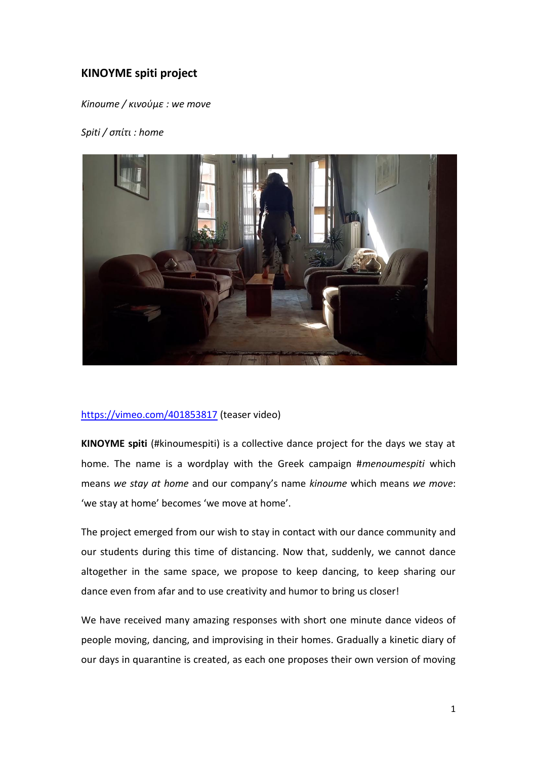## **KINOYME spiti project**

*Kinoume / κινούμε : we move*

## *Spiti / σπίτι : home*



## <https://vimeo.com/401853817> (teaser video)

**KINOYME spiti** (#kinoumespiti) is a collective dance project for the days we stay at home. The name is a wordplay with the Greek campaign #*menoumespiti* which means *we stay at home* and our company's name *kinoume* which means *we move*: 'we stay at home' becomes 'we move at home'.

The project emerged from our wish to stay in contact with our dance community and our students during this time of distancing. Now that, suddenly, we cannot dance altogether in the same space, we propose to keep dancing, to keep sharing our dance even from afar and to use creativity and humor to bring us closer!

We have received many amazing responses with short one minute dance videos of people moving, dancing, and improvising in their homes. Gradually a kinetic diary of our days in quarantine is created, as each one proposes their own version of moving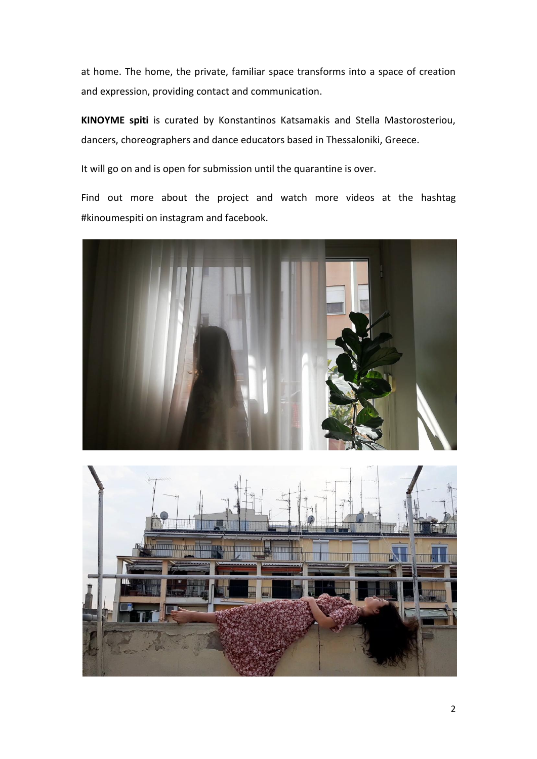at home. The home, the private, familiar space transforms into a space of creation and expression, providing contact and communication.

**KINOYME spiti** is curated by Konstantinos Katsamakis and Stella Mastorosteriou, dancers, choreographers and dance educators based in Thessaloniki, Greece.

It will go on and is open for submission until the quarantine is over.

Find out more about the project and watch more videos at the hashtag #kinoumespiti on instagram and facebook.